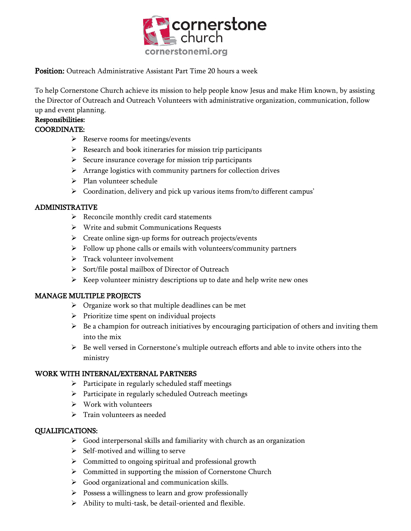

## Position: Outreach Administrative Assistant Part Time 20 hours a week

To help Cornerstone Church achieve its mission to help people know Jesus and make Him known, by assisting the Director of Outreach and Outreach Volunteers with administrative organization, communication, follow up and event planning.

# Responsibilities:

## COORDINATE:

- $\triangleright$  Reserve rooms for meetings/events
- $\triangleright$  Research and book itineraries for mission trip participants
- $\triangleright$  Secure insurance coverage for mission trip participants
- $\triangleright$  Arrange logistics with community partners for collection drives
- $\triangleright$  Plan volunteer schedule
- Ø Coordination, delivery and pick up various items from/to different campus'

### ADMINISTRATIVE

- $\triangleright$  Reconcile monthly credit card statements
- Ø Write and submit Communications Requests
- $\triangleright$  Create online sign-up forms for outreach projects/events
- $\triangleright$  Follow up phone calls or emails with volunteers/community partners
- $\triangleright$  Track volunteer involvement
- Ø Sort/file postal mailbox of Director of Outreach
- $\triangleright$  Keep volunteer ministry descriptions up to date and help write new ones

### MANAGE MULTIPLE PROJECTS

- $\triangleright$  Organize work so that multiple deadlines can be met
- $\triangleright$  Prioritize time spent on individual projects
- $\triangleright$  Be a champion for outreach initiatives by encouraging participation of others and inviting them into the mix
- $\triangleright$  Be well versed in Cornerstone's multiple outreach efforts and able to invite others into the ministry

### WORK WITH INTERNAL/EXTERNAL PARTNERS

- $\triangleright$  Participate in regularly scheduled staff meetings
- $\triangleright$  Participate in regularly scheduled Outreach meetings
- $\triangleright$  Work with volunteers
- $\triangleright$  Train volunteers as needed

### QUALIFICATIONS:

- $\triangleright$  Good interpersonal skills and familiarity with church as an organization
- $\triangleright$  Self-motived and willing to serve
- $\triangleright$  Committed to ongoing spiritual and professional growth
- $\triangleright$  Committed in supporting the mission of Cornerstone Church
- $\triangleright$  Good organizational and communication skills.
- $\triangleright$  Possess a willingness to learn and grow professionally
- $\triangleright$  Ability to multi-task, be detail-oriented and flexible.